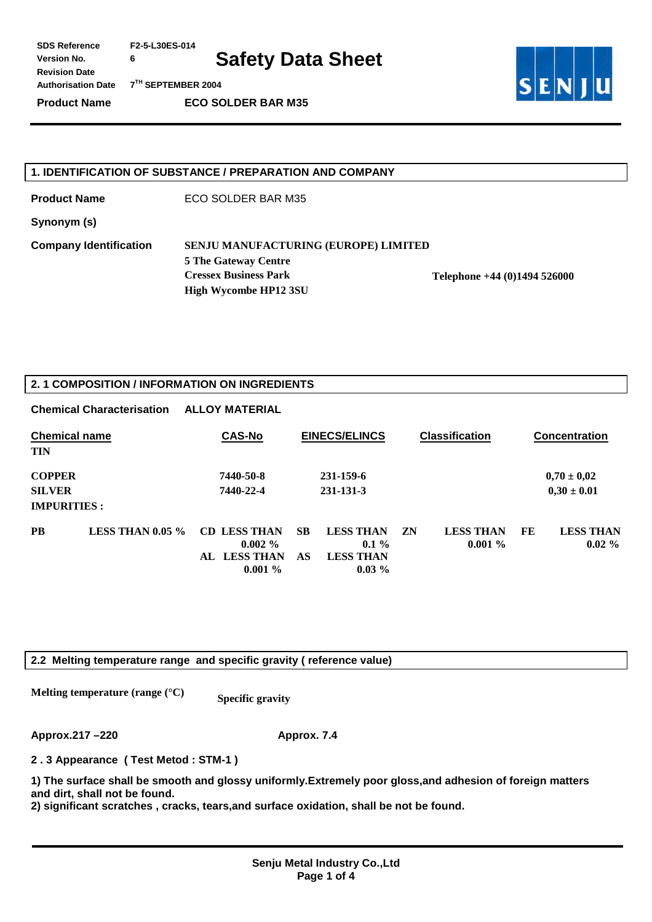**SDS Reference F2-5-L30ES-014** 

**Safety Data Sheet** 

**Authorisation Date 7TH SEPTEMBER 2004** 

**Revision Date** 

**Version No. 6** 

**Product Name ECO SOLDER BAR M35** 



#### **1. IDENTIFICATION OF SUBSTANCE / PREPARATION AND COMPANY**

**Product Name ECO SOLDER BAR M35** 

**Synonym (s)** 

**Company Identification SENJU MANUFACTURING (EUROPE) LIMITED** 

**5 The Gateway Centre Cressex Business Park Telephone +44 (0)1494 526000 High Wycombe HP12 3SU** 

#### **2. 1 COMPOSITION / INFORMATION ON INGREDIENTS**

|                                     | <b>Chemical Characterisation</b> | <b>ALLOY MATERIAL</b>            |           |                              |    |                               |    |                              |
|-------------------------------------|----------------------------------|----------------------------------|-----------|------------------------------|----|-------------------------------|----|------------------------------|
| <b>Chemical name</b><br><b>TIN</b>  |                                  | <b>CAS-No</b>                    |           | <b>EINECS/ELINCS</b>         |    | <b>Classification</b>         |    | <b>Concentration</b>         |
| <b>COPPER</b>                       |                                  | 7440-50-8                        |           | 231-159-6                    |    |                               |    | $0,70 \pm 0,02$              |
| <b>SILVER</b><br><b>IMPURITIES:</b> |                                  | 7440-22-4                        |           | 231-131-3                    |    |                               |    | $0,30 \pm 0.01$              |
| <b>PB</b>                           | LESS THAN $0.05\%$               | <b>CD LESS THAN</b><br>$0.002\%$ | <b>SB</b> | <b>LESS THAN</b><br>$0.1\%$  | ZN | <b>LESS THAN</b><br>$0.001\%$ | FE | <b>LESS THAN</b><br>$0.02\%$ |
|                                     |                                  | AL LESS THAN<br>$0.001\%$        | AS        | <b>LESS THAN</b><br>$0.03\%$ |    |                               |    |                              |

#### **2.2 Melting temperature range and specific gravity ( reference value)**

**Melting temperature (range (°C)** Specific gravity

**Approx.217 –220 Approx. 7.4** 

**2 . 3 Appearance ( Test Metod : STM-1 )** 

**1) The surface shall be smooth and glossy uniformly.Extremely poor gloss,and adhesion of foreign matters and dirt, shall not be found.** 

**2) significant scratches , cracks, tears,and surface oxidation, shall be not be found.**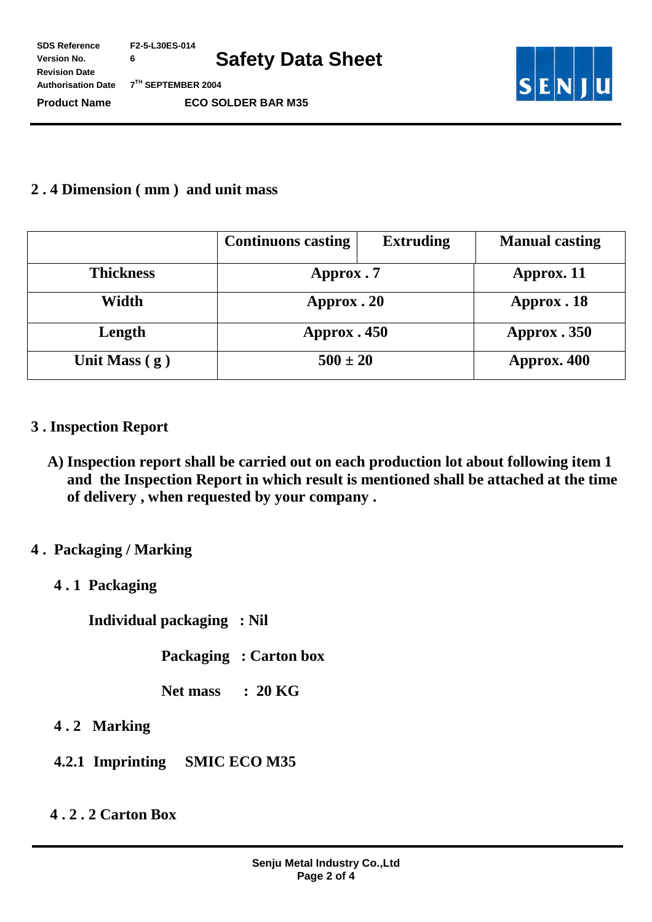**SDS Reference F2-5-L30ES-014 Version No. 6** 

**Safety Data Sheet** 

**Authorisation Date 7TH SEPTEMBER 2004** 

**Revision Date** 

**Product Name ECO SOLDER BAR M35** 



## **2 . 4 Dimension ( mm ) and unit mass**

|                                 | <b>Continuons casting</b> | <b>Extruding</b> | <b>Manual casting</b> |  |
|---------------------------------|---------------------------|------------------|-----------------------|--|
| <b>Thickness</b>                | Approx.7                  | Approx. 11       |                       |  |
| Width<br>Approx. 20             |                           |                  | Approx. 18            |  |
| Length                          | Approx. 450               | Approx. 350      |                       |  |
| $500 \pm 20$<br>Unit Mass $(g)$ |                           |                  | Approx. 400           |  |

## **3 . Inspection Report**

**A) Inspection report shall be carried out on each production lot about following item 1 and the Inspection Report in which result is mentioned shall be attached at the time of delivery , when requested by your company .** 

## **4 . Packaging / Marking**

**4 . 1 Packaging** 

 **Individual packaging : Nil** 

 **Packaging : Carton box** 

 **Net mass : 20 KG** 

- **4 . 2 Marking**
- **4.2.1 Imprinting SMIC ECO M35**

# **4 . 2 . 2 Carton Box**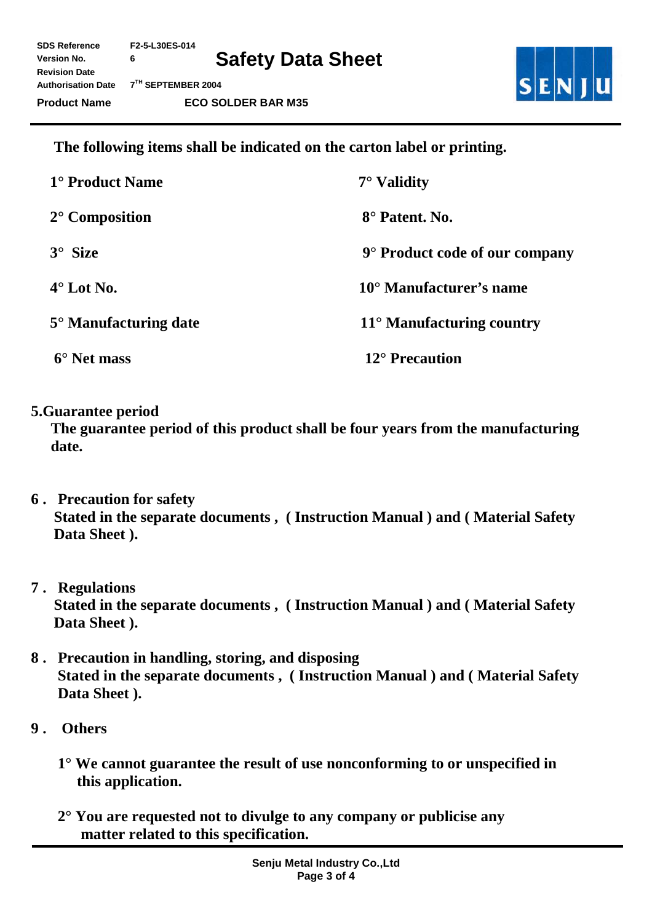**SDS Reference F2-5-L30ES-014 Version No. 6 Revision Date** 

**Authorisation Date 7TH SEPTEMBER 2004** 



 **The following items shall be indicated on the carton label or printing.** 

| 1° Product Name         | $7^\circ$ Validity                 |
|-------------------------|------------------------------------|
| $2^{\circ}$ Composition | 8° Patent, No.                     |
| $3^\circ$ Size          | 9° Product code of our company     |
| $4^\circ$ Lot No.       | 10° Manufacturer's name            |
| 5° Manufacturing date   | $11^{\circ}$ Manufacturing country |
| 6° Net mass             | $12^{\circ}$ Precaution            |

**5.Guarantee period** 

**The guarantee period of this product shall be four years from the manufacturing date.** 

- **6 . Precaution for safety Stated in the separate documents , ( Instruction Manual ) and ( Material Safety**  Data Sheet ).
- **7 . Regulations Stated in the separate documents , ( Instruction Manual ) and ( Material Safety Data Sheet ).**
- **8 . Precaution in handling, storing, and disposing Stated in the separate documents , ( Instruction Manual ) and ( Material Safety Data Sheet ).**
- **9 . Others** 
	- **1° We cannot guarantee the result of use nonconforming to or unspecified in this application.**
	- **2° You are requested not to divulge to any company or publicise any matter related to this specification.**